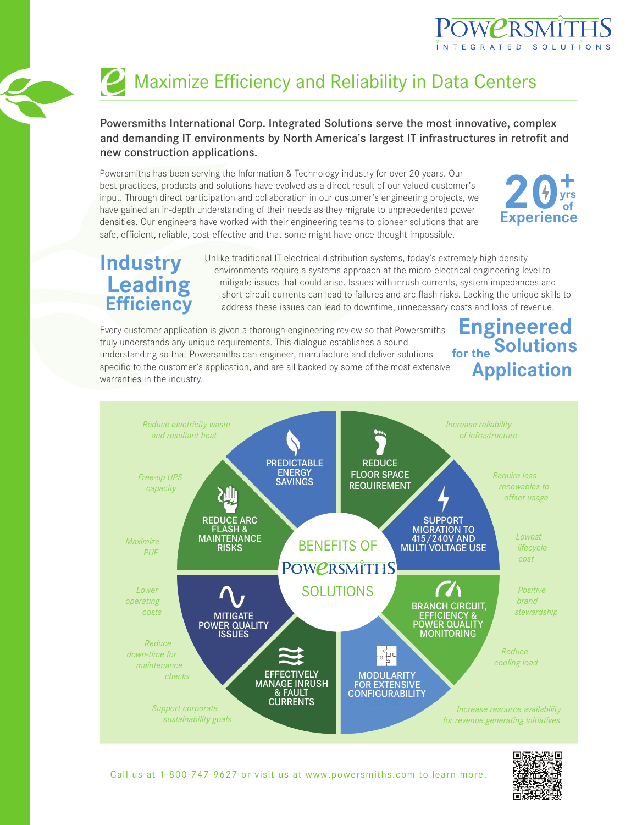

# **2** Maximize Efficiency and Reliability in Data Centers

#### Powersmiths International Corp. Integrated Solutions serve the most innovative, complex and demanding IT environments by North America's largest IT infrastructures in retrofit and new construction applications.

Powersmiths has been serving the Information & Technology industry for over 20 years. Our best practices, products and solutions have evolved as a direct result of our valued customer's input. Through direct participation and collaboration in our customer's engineering projects, we have gained an in-depth understanding of their needs as they migrate to unprecedented power densities. Our engineers have worked with their engineering teams to pioneer solutions that are safe, efficient, reliable, cost-effective and that some might have once thought impossible.



### **Industry Leading Efficiency**

Unlike traditional IT electrical distribution systems, today's extremely high density environments require a systems approach at the micro-electrical engineering level to mitigate issues that could arise. Issues with inrush currents, system impedances and short circuit currents can lead to failures and arc flash risks. Lacking the unique skills to address these issues can lead to downtime, unnecessary costs and loss of revenue.

Every customer application is given a thorough engineering review so that Powersmiths truly understands any unique requirements. This dialogue establishes a sound understanding so that Powersmiths can engineer, manufacture and deliver solutions specific to the customer's application, and are all backed by some of the most extensive warranties in the industry.

## **Engineered Solutions for the Application**